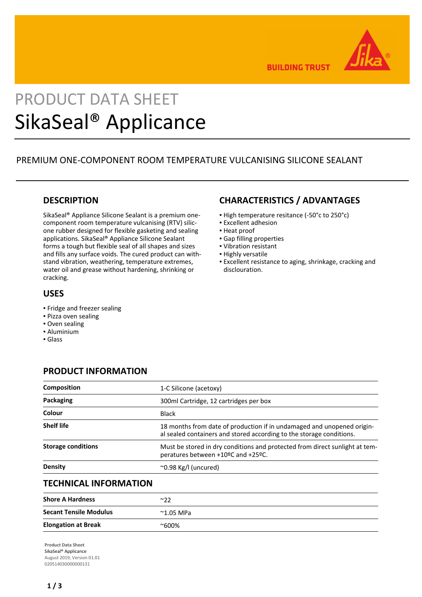

**BUILDING TRUST** 

# PRODUCT DATA SHEET SikaSeal® Applicance

## PREMIUM ONE-COMPONENT ROOM TEMPERATURE VULCANISING SILICONE SEALANT

## **DESCRIPTION**

SikaSeal® Appliance Silicone Sealant is a premium onecomponent room temperature vulcanising (RTV) silicone rubber designed for flexible gasketing and sealing applications. SikaSeal® Appliance Silicone Sealant forms a tough but flexible seal of all shapes and sizes and fills any surface voids. The cured product can withstand vibration, weathering, temperature extremes, water oil and grease without hardening, shrinking or cracking.

## **USES**

- Fridge and freezer sealing
- Pizza oven sealing
- Oven sealing
- Aluminium
- Glass

## **CHARACTERISTICS / ADVANTAGES**

- High temperature resitance (-50°c to 250°c)
- Excellent adhesion
- Heat proof
- Gap filling properties
- Vibration resistant
- **· Highly versatile**
- Excellent resistance to aging, shrinkage, cracking and disclouration.

## **PRODUCT INFORMATION**

| <b>Composition</b>            | 1-C Silicone (acetoxy)                                                                                                                         |
|-------------------------------|------------------------------------------------------------------------------------------------------------------------------------------------|
| Packaging                     | 300ml Cartridge, 12 cartridges per box                                                                                                         |
| Colour                        | <b>Black</b>                                                                                                                                   |
| <b>Shelf life</b>             | 18 months from date of production if in undamaged and unopened origin-<br>al sealed containers and stored according to the storage conditions. |
| <b>Storage conditions</b>     | Must be stored in dry conditions and protected from direct sunlight at tem-<br>peratures between +10°C and +25°C.                              |
| Density                       | $\sim$ 0.98 Kg/l (uncured)                                                                                                                     |
| <b>TECHNICAL INFORMATION</b>  |                                                                                                                                                |
| <b>Shore A Hardness</b>       | $^{\sim}22$                                                                                                                                    |
| <b>Secant Tensile Modulus</b> | $^{\sim}$ 1.05 MPa                                                                                                                             |
| <b>Elongation at Break</b>    | $^{\sim}600\%$                                                                                                                                 |

**Product Data Sheet** SikaSeal® Applicance August 2019, Version 01.01 020514030000000131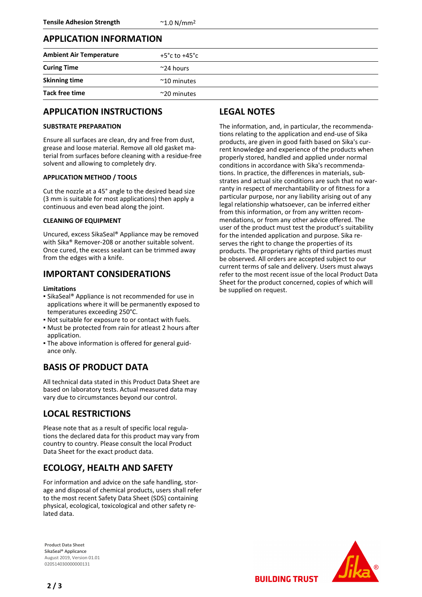## **APPLICATION INFORMATION**

| <b>Ambient Air Temperature</b> | $+5^{\circ}$ c to $+45^{\circ}$ c |
|--------------------------------|-----------------------------------|
| <b>Curing Time</b>             | $\sim$ 24 hours                   |
| <b>Skinning time</b>           | $~^{\sim}$ 10 minutes             |
| <b>Tack free time</b>          | $\sim$ 20 minutes                 |

## **APPLICATION INSTRUCTIONS**

### **SUBSTRATE PREPARATION**

Ensure all surfaces are clean, dry and free from dust, grease and loose material. Remove all old gasket material from surfaces before cleaning with a residue-free solvent and allowing to completely dry.

#### **APPLICATION METHOD / TOOLS**

Cut the nozzle at a 45° angle to the desired bead size (3 mm is suitable for most applications) then apply a continuous and even bead along the joint.

#### **CLEANING OF EQUIPMENT**

Uncured, excess SikaSeal® Appliance may be removed with Sika® Remover-208 or another suitable solvent. Once cured, the excess sealant can be trimmed away from the edges with a knife.

## **IMPORTANT CONSIDERATIONS**

#### **Limitations**

- **Example 3 Islangely** Appliance is not recommended for use in applications where it will be permanently exposed to temperatures exceeding 250°C.
- Not suitable for exposure to or contact with fuels.
- Must be protected from rain for atleast 2 hours after application.
- The above information is offered for general guid-▪ ance only.

## **BASIS OF PRODUCT DATA**

All technical data stated in this Product Data Sheet are based on laboratory tests. Actual measured data may vary due to circumstances beyond our control.

## **LOCAL RESTRICTIONS**

Please note that as a result of specific local regulations the declared data for this product may vary from country to country. Please consult the local Product Data Sheet for the exact product data.

## **ECOLOGY, HEALTH AND SAFETY**

For information and advice on the safe handling, storage and disposal of chemical products, users shall refer to the most recent Safety Data Sheet (SDS) containing physical, ecological, toxicological and other safety related data.

**Product Data Sheet** SikaSeal® Applicance August 2019, Version 01.01 020514030000000131

**2 / 3**

## **LEGAL NOTES**

The information, and, in particular, the recommendations relating to the application and end-use of Sika products, are given in good faith based on Sika's current knowledge and experience of the products when properly stored, handled and applied under normal conditions in accordance with Sika's recommendations. In practice, the differences in materials, substrates and actual site conditions are such that no warranty in respect of merchantability or of fitness for a particular purpose, nor any liability arising out of any legal relationship whatsoever, can be inferred either from this information, or from any written recommendations, or from any other advice offered. The user of the product must test the product's suitability for the intended application and purpose. Sika reserves the right to change the properties of its products. The proprietary rights of third parties must be observed. All orders are accepted subject to our current terms of sale and delivery. Users must always refer to the most recent issue of the local Product Data Sheet for the product concerned, copies of which will be supplied on request.



**BUILDING TRUST**